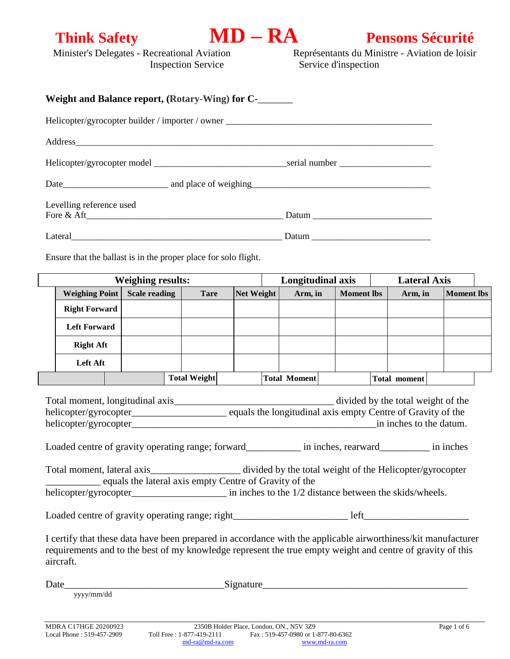**Think Safety**<br> **MD – RA**<br> **Pensons Sécurité**<br> **Représentants du Ministre - Aviation de loisir<br>
<b>Représentants du Ministre - Aviation de loisir** Représentants du Ministre - Aviation de loisir Inspection Service Service d'inspection

| Weight and Balance report, (Rotary-Wing) for C-______                                                                                                                                                                                                                       |                                                                        |                     |            |                     |                   |                                                               |                   |  |
|-----------------------------------------------------------------------------------------------------------------------------------------------------------------------------------------------------------------------------------------------------------------------------|------------------------------------------------------------------------|---------------------|------------|---------------------|-------------------|---------------------------------------------------------------|-------------------|--|
| Helicopter/gyrocopter builder / importer / owner _______________________________                                                                                                                                                                                            |                                                                        |                     |            |                     |                   |                                                               |                   |  |
|                                                                                                                                                                                                                                                                             |                                                                        |                     |            |                     |                   |                                                               |                   |  |
|                                                                                                                                                                                                                                                                             |                                                                        |                     |            |                     |                   |                                                               |                   |  |
|                                                                                                                                                                                                                                                                             |                                                                        |                     |            |                     |                   |                                                               |                   |  |
| Levelling reference used<br>Fore & Aft                                                                                                                                                                                                                                      |                                                                        |                     |            |                     |                   |                                                               |                   |  |
|                                                                                                                                                                                                                                                                             |                                                                        |                     |            |                     |                   |                                                               |                   |  |
|                                                                                                                                                                                                                                                                             |                                                                        |                     |            |                     |                   |                                                               |                   |  |
| Ensure that the ballast is in the proper place for solo flight.<br><b>Weighing results:</b><br><b>Weighing Point</b><br><b>Scale reading</b>                                                                                                                                |                                                                        |                     |            | Longitudinal axis   |                   | <b>Lateral Axis</b>                                           |                   |  |
|                                                                                                                                                                                                                                                                             |                                                                        | <b>Tare</b>         | Net Weight | Arm, in             | <b>Moment lbs</b> | Arm, in                                                       | <b>Moment lbs</b> |  |
| <b>Right Forward</b>                                                                                                                                                                                                                                                        |                                                                        |                     |            |                     |                   |                                                               |                   |  |
| <b>Left Forward</b>                                                                                                                                                                                                                                                         |                                                                        |                     |            |                     |                   |                                                               |                   |  |
| <b>Right Aft</b>                                                                                                                                                                                                                                                            |                                                                        |                     |            |                     |                   |                                                               |                   |  |
| <b>Left Aft</b>                                                                                                                                                                                                                                                             |                                                                        |                     |            |                     |                   |                                                               |                   |  |
|                                                                                                                                                                                                                                                                             |                                                                        | <b>Total Weight</b> |            | <b>Total Moment</b> |                   | Total moment                                                  |                   |  |
| Total moment, longitudinal axis_______________<br>Loaded centre of gravity operating range; forward_____________ in inches, rearward___________ in inches                                                                                                                   |                                                                        |                     |            |                     |                   | divided by the total weight of the<br>in inches to the datum. |                   |  |
| Total moment, lateral axis___________________ divided by the total weight of the Helicopter/gyrocopter<br>equals the lateral axis empty Centre of Gravity of the<br>helicopter/gyrocopter__________________________ in inches to the 1/2 distance between the skids/wheels. |                                                                        |                     |            |                     |                   |                                                               |                   |  |
|                                                                                                                                                                                                                                                                             |                                                                        |                     |            |                     |                   |                                                               |                   |  |
|                                                                                                                                                                                                                                                                             |                                                                        |                     |            |                     |                   |                                                               |                   |  |
| I certify that these data have been prepared in accordance with the applicable airworthiness/kit manufacturer<br>requirements and to the best of my knowledge represent the true empty weight and centre of gravity of this<br>aircraft.                                    |                                                                        |                     |            |                     |                   |                                                               |                   |  |
| Date_                                                                                                                                                                                                                                                                       | <u>Signature Signature (Signature Signature (Signature Signature )</u> |                     |            |                     |                   |                                                               |                   |  |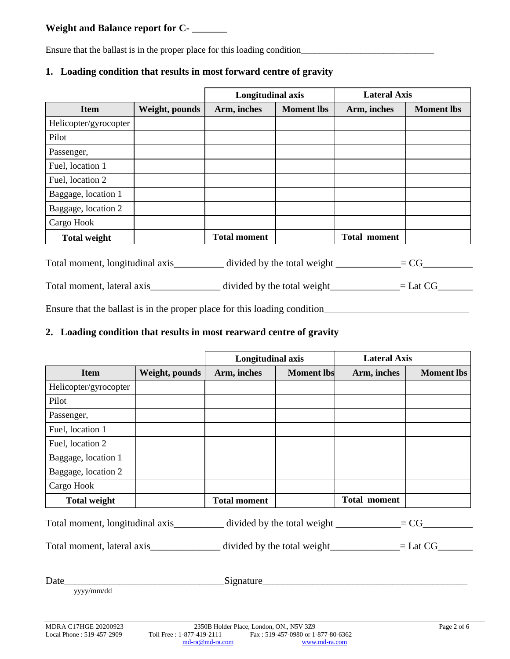# **Weight and Balance report for C-** \_\_\_\_\_\_\_

Ensure that the ballast is in the proper place for this loading condition

# **Longitudinal axis Lateral Axis Item Weight, pounds Arm, inches Moment lbs Arm, inches Moment lbs** Helicopter/gyrocopter Pilot Passenger, Fuel, location 1 Fuel, location 2 Baggage, location 1 Baggage, location 2 Cargo Hook  **Total weight Total moment Total moment**

# **1. Loading condition that results in most forward centre of gravity**

Total moment, longitudinal axis\_\_\_\_\_\_\_\_\_ divided by the total weight  $\frac{1}{\sqrt{1-\frac{1}{n}} = CG_1 + C}$ 

Total moment, lateral axis\_\_\_\_\_\_\_\_\_\_\_\_\_\_\_ divided by the total weight\_\_\_\_\_\_\_\_\_\_\_\_\_\_= Lat CG\_\_\_\_\_\_\_\_

Ensure that the ballast is in the proper place for this loading condition

# **2. Loading condition that results in most rearward centre of gravity**

|                                                                                   |                | Longitudinal axis   |                   | <b>Lateral Axis</b>                                                                                  |                   |  |
|-----------------------------------------------------------------------------------|----------------|---------------------|-------------------|------------------------------------------------------------------------------------------------------|-------------------|--|
| <b>Item</b>                                                                       | Weight, pounds | Arm, inches         | <b>Moment lbs</b> | Arm, inches                                                                                          | <b>Moment</b> lbs |  |
| Helicopter/gyrocopter                                                             |                |                     |                   |                                                                                                      |                   |  |
| Pilot                                                                             |                |                     |                   |                                                                                                      |                   |  |
| Passenger,                                                                        |                |                     |                   |                                                                                                      |                   |  |
| Fuel, location 1                                                                  |                |                     |                   |                                                                                                      |                   |  |
| Fuel, location 2                                                                  |                |                     |                   |                                                                                                      |                   |  |
| Baggage, location 1                                                               |                |                     |                   |                                                                                                      |                   |  |
| Baggage, location 2                                                               |                |                     |                   |                                                                                                      |                   |  |
| Cargo Hook                                                                        |                |                     |                   |                                                                                                      |                   |  |
| <b>Total weight</b>                                                               |                | <b>Total moment</b> |                   | Total moment                                                                                         |                   |  |
| Total moment, longitudinal axis__________ divided by the total weight ___________ |                |                     |                   | $= CG$                                                                                               |                   |  |
|                                                                                   |                |                     |                   | Total moment, lateral axis__________________ divided by the total weight______________= Lat CG______ |                   |  |
|                                                                                   |                |                     |                   |                                                                                                      |                   |  |
| $\sim$ $\sim$ $\sim$ $\sim$ $\sim$                                                |                | Signature           |                   |                                                                                                      |                   |  |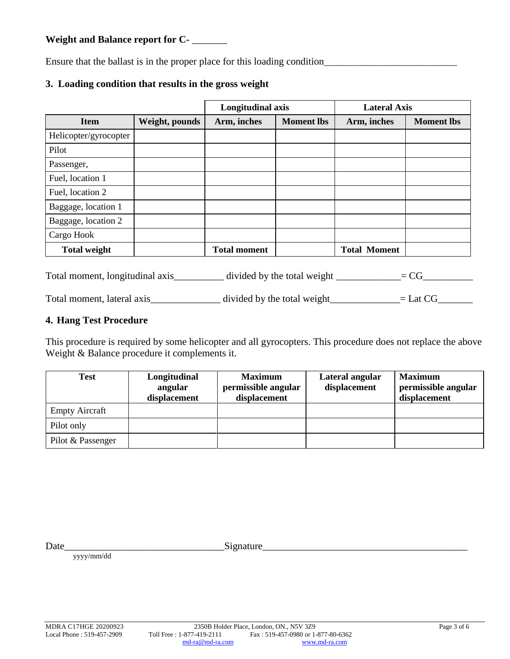**Weight and Balance report for C-** \_\_\_\_\_\_\_

Ensure that the ballast is in the proper place for this loading condition\_\_\_\_\_\_\_\_\_\_\_\_\_\_\_\_\_\_\_\_\_\_\_\_\_\_\_\_\_

# **3. Loading condition that results in the gross weight**

|                       |                | Longitudinal axis   |                   | <b>Lateral Axis</b> |                   |  |
|-----------------------|----------------|---------------------|-------------------|---------------------|-------------------|--|
| <b>Item</b>           | Weight, pounds | Arm, inches         | <b>Moment lbs</b> | Arm, inches         | <b>Moment lbs</b> |  |
| Helicopter/gyrocopter |                |                     |                   |                     |                   |  |
| Pilot                 |                |                     |                   |                     |                   |  |
| Passenger,            |                |                     |                   |                     |                   |  |
| Fuel, location 1      |                |                     |                   |                     |                   |  |
| Fuel, location 2      |                |                     |                   |                     |                   |  |
| Baggage, location 1   |                |                     |                   |                     |                   |  |
| Baggage, location 2   |                |                     |                   |                     |                   |  |
| Cargo Hook            |                |                     |                   |                     |                   |  |
| <b>Total weight</b>   |                | <b>Total moment</b> |                   | <b>Total Moment</b> |                   |  |

Total moment, longitudinal axis\_\_\_\_\_\_\_\_\_\_ divided by the total weight \_\_\_\_\_\_\_\_\_\_\_\_\_= CG\_\_\_\_\_\_\_\_\_\_

Total moment, lateral axis\_\_\_\_\_\_\_\_\_\_\_\_\_ divided by the total weight\_\_\_\_\_\_\_\_\_\_\_\_\_\_ = Lat CG\_\_\_\_\_\_\_\_\_

# **4. Hang Test Procedure**

This procedure is required by some helicopter and all gyrocopters. This procedure does not replace the above Weight & Balance procedure it complements it.

| <b>Test</b>           | Longitudinal<br>angular<br>displacement | <b>Maximum</b><br>permissible angular<br>displacement | Lateral angular<br>displacement | <b>Maximum</b><br>permissible angular<br>displacement |
|-----------------------|-----------------------------------------|-------------------------------------------------------|---------------------------------|-------------------------------------------------------|
| <b>Empty Aircraft</b> |                                         |                                                       |                                 |                                                       |
| Pilot only            |                                         |                                                       |                                 |                                                       |
| Pilot & Passenger     |                                         |                                                       |                                 |                                                       |

Date\_\_\_\_\_\_\_\_\_\_\_\_\_\_\_\_\_\_\_\_\_\_\_\_\_\_\_\_\_\_\_\_Signature\_\_\_\_\_\_\_\_\_\_\_\_\_\_\_\_\_\_\_\_\_\_\_\_\_\_\_\_\_\_\_\_\_\_\_\_\_\_\_\_\_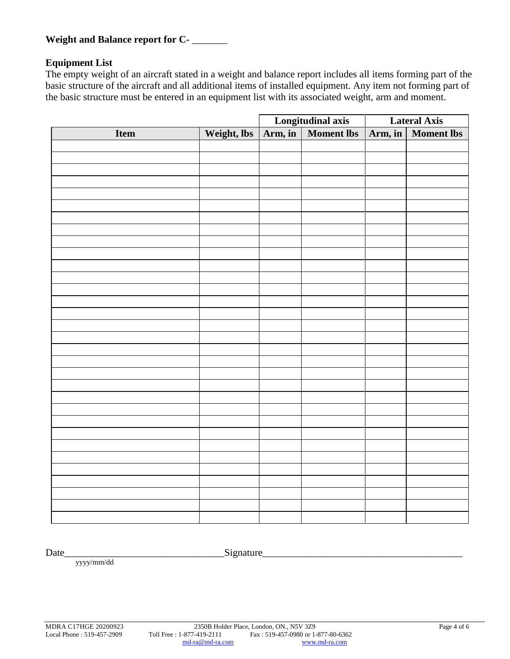**Weight and Balance report for C-** \_\_\_\_\_\_\_

# **Equipment List**

The empty weight of an aircraft stated in a weight and balance report includes all items forming part of the basic structure of the aircraft and all additional items of installed equipment. Any item not forming part of the basic structure must be entered in an equipment list with its associated weight, arm and moment.

|      |             | <b>Longitudinal axis</b><br>Arm, in   Moment lbs |  | <b>Lateral Axis</b> |                   |
|------|-------------|--------------------------------------------------|--|---------------------|-------------------|
| Item | Weight, lbs |                                                  |  | Arm, in             | <b>Moment lbs</b> |
|      |             |                                                  |  |                     |                   |
|      |             |                                                  |  |                     |                   |
|      |             |                                                  |  |                     |                   |
|      |             |                                                  |  |                     |                   |
|      |             |                                                  |  |                     |                   |
|      |             |                                                  |  |                     |                   |
|      |             |                                                  |  |                     |                   |
|      |             |                                                  |  |                     |                   |
|      |             |                                                  |  |                     |                   |
|      |             |                                                  |  |                     |                   |
|      |             |                                                  |  |                     |                   |
|      |             |                                                  |  |                     |                   |
|      |             |                                                  |  |                     |                   |
|      |             |                                                  |  |                     |                   |
|      |             |                                                  |  |                     |                   |
|      |             |                                                  |  |                     |                   |
|      |             |                                                  |  |                     |                   |
|      |             |                                                  |  |                     |                   |
|      |             |                                                  |  |                     |                   |
|      |             |                                                  |  |                     |                   |
|      |             |                                                  |  |                     |                   |
|      |             |                                                  |  |                     |                   |
|      |             |                                                  |  |                     |                   |
|      |             |                                                  |  |                     |                   |
|      |             |                                                  |  |                     |                   |
|      |             |                                                  |  |                     |                   |
|      |             |                                                  |  |                     |                   |
|      |             |                                                  |  |                     |                   |
|      |             |                                                  |  |                     |                   |
|      |             |                                                  |  |                     |                   |
|      |             |                                                  |  |                     |                   |
|      |             |                                                  |  |                     |                   |

Date\_\_\_\_\_\_\_\_\_\_\_\_\_\_\_\_\_\_\_\_\_\_\_\_\_\_\_\_\_\_\_\_Signature\_\_\_\_\_\_\_\_\_\_\_\_\_\_\_\_\_\_\_\_\_\_\_\_\_\_\_\_\_\_\_\_\_\_\_\_\_\_\_\_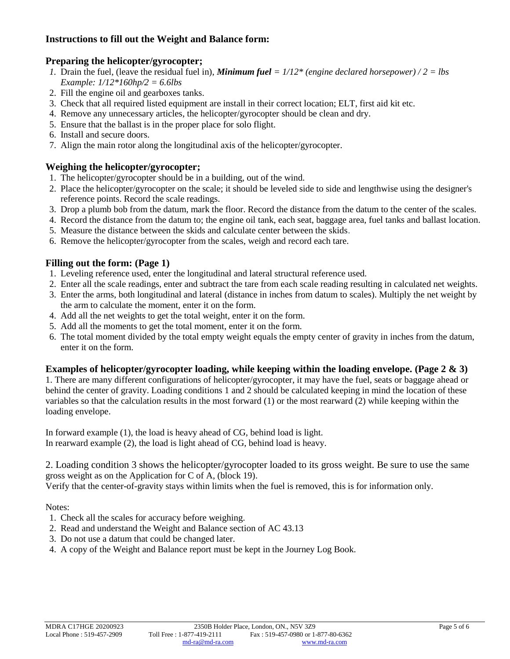# **Instructions to fill out the Weight and Balance form:**

# **Preparing the helicopter/gyrocopter;**

- *1.* Drain the fuel, (leave the residual fuel in), *Minimum fuel = 1/12\* (engine declared horsepower) / 2 = lbs Example: 1/12\*160hp/2 = 6.6lbs*
- 2. Fill the engine oil and gearboxes tanks.
- 3. Check that all required listed equipment are install in their correct location; ELT, first aid kit etc.
- 4. Remove any unnecessary articles, the helicopter/gyrocopter should be clean and dry.
- 5. Ensure that the ballast is in the proper place for solo flight.
- 6. Install and secure doors.
- 7. Align the main rotor along the longitudinal axis of the helicopter/gyrocopter.

### **Weighing the helicopter/gyrocopter;**

- 1. The helicopter/gyrocopter should be in a building, out of the wind.
- 2. Place the helicopter/gyrocopter on the scale; it should be leveled side to side and lengthwise using the designer's reference points. Record the scale readings.
- 3. Drop a plumb bob from the datum, mark the floor. Record the distance from the datum to the center of the scales.
- 4. Record the distance from the datum to; the engine oil tank, each seat, baggage area, fuel tanks and ballast location.
- 5. Measure the distance between the skids and calculate center between the skids.
- 6. Remove the helicopter/gyrocopter from the scales, weigh and record each tare.

# **Filling out the form: (Page 1)**

- 1. Leveling reference used, enter the longitudinal and lateral structural reference used.
- 2. Enter all the scale readings, enter and subtract the tare from each scale reading resulting in calculated net weights.
- 3. Enter the arms, both longitudinal and lateral (distance in inches from datum to scales). Multiply the net weight by the arm to calculate the moment, enter it on the form.
- 4. Add all the net weights to get the total weight, enter it on the form.
- 5. Add all the moments to get the total moment, enter it on the form.
- 6. The total moment divided by the total empty weight equals the empty center of gravity in inches from the datum, enter it on the form.

### **Examples of helicopter/gyrocopter loading, while keeping within the loading envelope. (Page 2 & 3)**

1. There are many different configurations of helicopter/gyrocopter, it may have the fuel, seats or baggage ahead or behind the center of gravity. Loading conditions 1 and 2 should be calculated keeping in mind the location of these variables so that the calculation results in the most forward (1) or the most rearward (2) while keeping within the loading envelope.

In forward example (1), the load is heavy ahead of CG, behind load is light. In rearward example (2), the load is light ahead of CG, behind load is heavy.

2. Loading condition 3 shows the helicopter/gyrocopter loaded to its gross weight. Be sure to use the same gross weight as on the Application for C of A, (block 19).

Verify that the center-of-gravity stays within limits when the fuel is removed, this is for information only.

Notes:

- 1. Check all the scales for accuracy before weighing.
- 2. Read and understand the Weight and Balance section of AC 43.13
- 3. Do not use a datum that could be changed later.
- 4. A copy of the Weight and Balance report must be kept in the Journey Log Book.